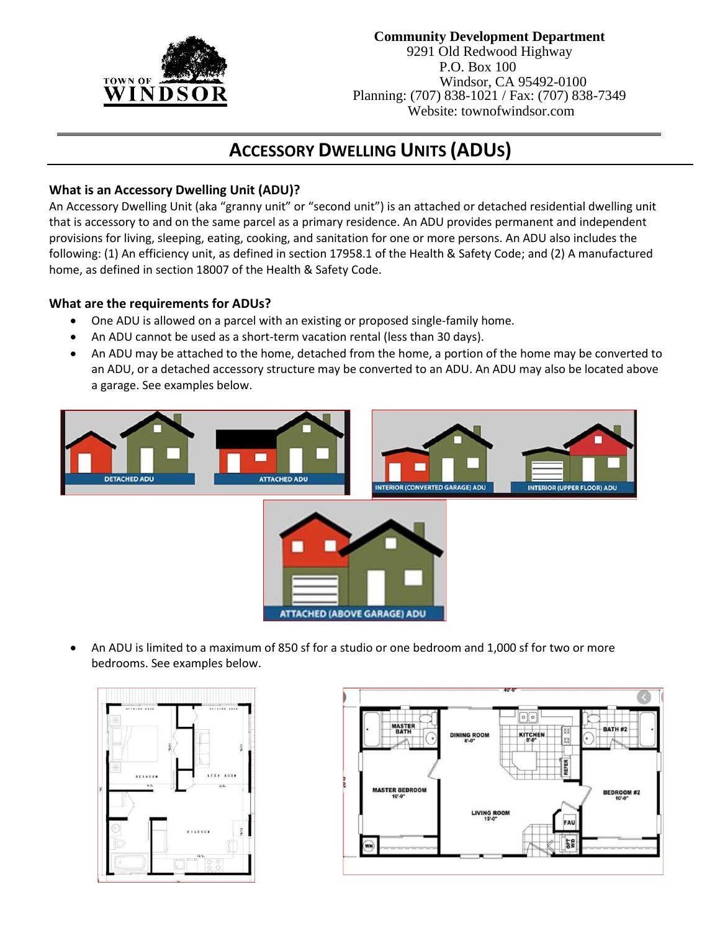

# **Community Development Department**

9291 Old Redwood Highway P.O. Box 100 Windsor, CA 95492-0100 Planning: (707) 838-1021 / Fax: (707) 838-7349 Website: townofwindsor.com

# **ACCESSORY DWELLING UNITS (ADUS)**

## **What is an Accessory Dwelling Unit (ADU)?**

An Accessory Dwelling Unit (aka "granny unit" or "second unit") is an attached or detached residential dwelling unit that is accessory to and on the same parcel as a primary residence. An ADU provides permanent and independent provisions for living, sleeping, eating, cooking, and sanitation for one or more persons. An ADU also includes the following: (1) An efficiency unit, as defined in section 17958.1 of the Health & Safety Code; and (2) A manufactured home, as defined in section 18007 of the Health & Safety Code.

## **What are the requirements for ADUs?**

- One ADU is allowed on a parcel with an existing or proposed single-family home.
- An ADU cannot be used as a short-term vacation rental (less than 30 days).
- An ADU may be attached to the home, detached from the home, a portion of the home may be converted to an ADU, or a detached accessory structure may be converted to an ADU. An ADU may also be located above a garage. See examples below.



• An ADU is limited to a maximum of 850 sf for a studio or one bedroom and 1,000 sf for two or more bedrooms. See examples below.



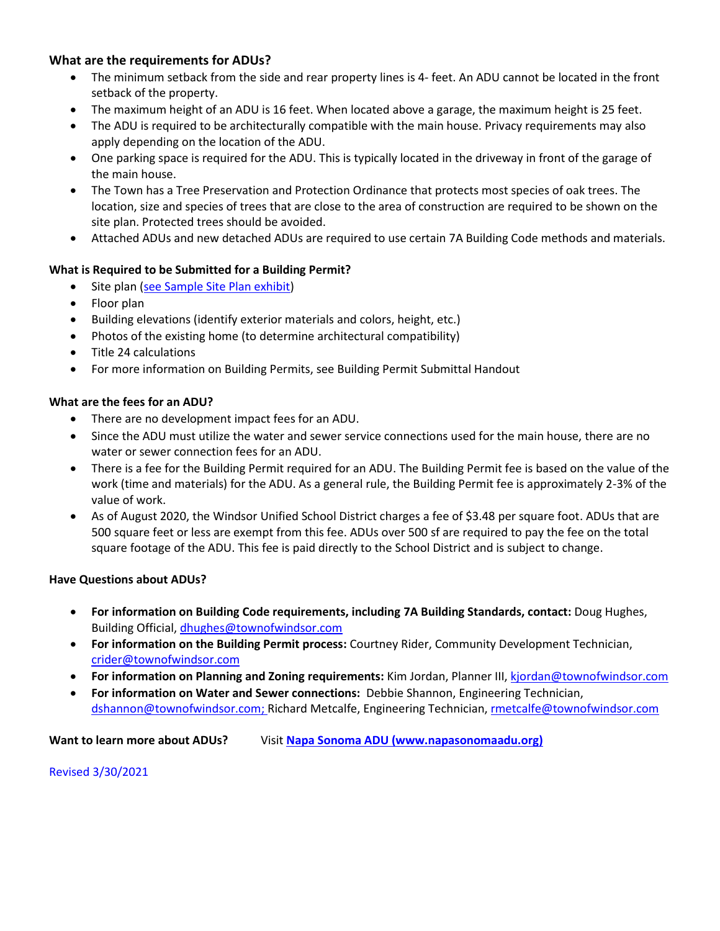## **What are the requirements for ADUs?**

- The minimum setback from the side and rear property lines is 4- feet. An ADU cannot be located in the front setback of the property.
- The maximum height of an ADU is 16 feet. When located above a garage, the maximum height is 25 feet.
- The ADU is required to be architecturally compatible with the main house. Privacy requirements may also apply depending on the location of the ADU.
- One parking space is required for the ADU. This is typically located in the driveway in front of the garage of the main house.
- The Town has a Tree Preservation and Protection Ordinance that protects most species of oak trees. The location, size and species of trees that are close to the area of construction are required to be shown on the site plan. Protected trees should be avoided.
- Attached ADUs and new detached ADUs are required to use certain 7A Building Code methods and materials.

## **What is Required to be Submitted for a Building Permit?**

- Site plan [\(see Sample Site Plan exhibit\)](file://///tow-cc-fp01.windsor.local/Shared/60%20-%20Community%20Development%20Dept/Planning%20Division/Forms/Handouts-Brochures/Sample%20Residential%20Site%20Plan%202020-10-25.pdf)
- Floor plan
- Building elevations (identify exterior materials and colors, height, etc.)
- Photos of the existing home (to determine architectural compatibility)
- Title 24 calculations
- For more information on Building Permits, see Building Permit Submittal Handout

#### **What are the fees for an ADU?**

- There are no development impact fees for an ADU.
- Since the ADU must utilize the water and sewer service connections used for the main house, there are no water or sewer connection fees for an ADU.
- There is a fee for the Building Permit required for an ADU. The Building Permit fee is based on the value of the work (time and materials) for the ADU. As a general rule, the Building Permit fee is approximately 2-3% of the value of work.
- As of August 2020, the Windsor Unified School District charges a fee of \$3.48 per square foot. ADUs that are 500 square feet or less are exempt from this fee. ADUs over 500 sf are required to pay the fee on the total square footage of the ADU. This fee is paid directly to the School District and is subject to change.

#### **Have Questions about ADUs?**

- **For information on Building Code requirements, including 7A Building Standards, contact:** Doug Hughes, Building Official, [dhughes@townofwindsor.com](mailto:dhughes@townofwindsor.com)
- **For information on the Building Permit process:** Courtney Rider, Community Development Technician, [crider@townofwindsor.com](mailto:crider@townofwindsor.com)
- **For information on Planning and Zoning requirements:** Kim Jordan, Planner III, [kjordan@townofwindsor.com](mailto:kjordan@townofwindsor.com)
- **For information on Water and Sewer connections:** Debbie Shannon, Engineering Technician, [dshannon@townofwindsor.com;](mailto:dshannon@townofwindsor.com) Richard Metcalfe, Engineering Technician, [rmetcalfe@townofwindsor.com](mailto:rmetcalfe@townofwindsor.com)

**Want to learn more about ADUs?** Visit **[Napa Sonoma ADU](https://napasonomaadu.org/) [\(www.napasonomaadu.org\)](http://www.napasonomaadu.org/)**

Revised 3/30/2021